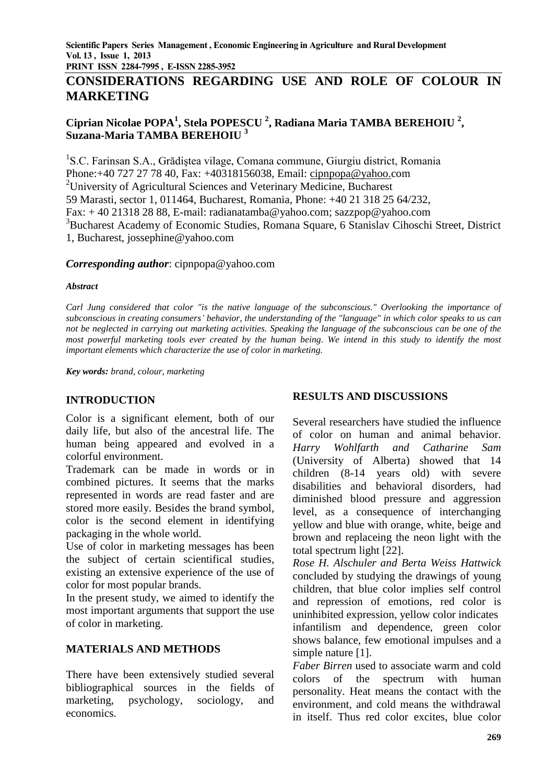**PRINT ISSN 2284-7995 , E-ISSN 2285-3952** 

# **CONSIDERATIONS REGARDING USE AND ROLE OF COLOUR IN MARKETING**

# **Ciprian Nicolae POPA<sup>1</sup> , Stela POPESCU <sup>2</sup> , Radiana Maria TAMBA BEREHOIU <sup>2</sup> , Suzana-Maria TAMBA BEREHOIU <sup>3</sup>**

<sup>1</sup>S.C. Farinsan S.A., Grădiștea vilage, Comana commune, Giurgiu district, Romania Phone:+40 727 27 78 40, Fax: +40318156038, Email: [cipnpopa@yahoo.c](mailto:cipnpopa@yahoo.)om <sup>2</sup>University of Agricultural Sciences and Veterinary Medicine, Bucharest 59 Marasti, sector 1, 011464, Bucharest, Romania, Phone: +40 21 318 25 64/232, Fax: + 40 21318 28 88, E-mail: [radianatamba@yahoo.com;](mailto:radianatamba@yahoo.com) sazzpop@yahoo.com <sup>3</sup>Bucharest Academy of Economic Studies, Romana Square, 6 Stanislav Cihoschi Street, District 1, Bucharest, [jossephine@yahoo.com](mailto:jossephine@yahoo.com)

#### *Corresponding author*: cipnpopa@yahoo.com

#### *Abstract*

*Carl Jung considered that color "is the native language of the subconscious." Overlooking the importance of subconscious in creating consumers' behavior, the understanding of the "language" in which color speaks to us can not be neglected in carrying out marketing activities. Speaking the language of the subconscious can be one of the most powerful marketing tools ever created by the human being. We intend in this study to identify the most important elements which characterize the use of color in marketing.*

*Key words: brand, colour, marketing*

# **INTRODUCTION**

Color is a significant element, both of our daily life, but also of the ancestral life. The human being appeared and evolved in a colorful environment.

Trademark can be made in words or in combined pictures. It seems that the marks represented in words are read faster and are stored more easily. Besides the brand symbol, color is the second element in identifying packaging in the whole world.

Use of color in marketing messages has been the subject of certain scientifical studies, existing an extensive experience of the use of color for most popular brands.

In the present study, we aimed to identify the most important arguments that support the use of color in marketing.

# **MATERIALS AND METHODS**

There have been extensively studied several bibliographical sources in the fields of marketing, psychology, sociology, and economics.

# **RESULTS AND DISCUSSIONS**

Several researchers have studied the influence of color on human and animal behavior. *Harry Wohlfarth and Catharine Sam* (University of Alberta) showed that 14 children (8-14 years old) with severe disabilities and behavioral disorders, had diminished blood pressure and aggression level, as a consequence of interchanging yellow and blue with orange, white, beige and brown and replaceing the neon light with the total spectrum light [22].

*Rose H. Alschuler and Berta Weiss Hattwick* concluded by studying the drawings of young children, that blue color implies self control and repression of emotions, red color is uninhibited expression, yellow color indicates infantilism and dependence, green color shows balance, few emotional impulses and a simple nature [1].

*Faber Birren* used to associate warm and cold colors of the spectrum with human personality. Heat means the contact with the environment, and cold means the withdrawal in itself. Thus red color excites, blue color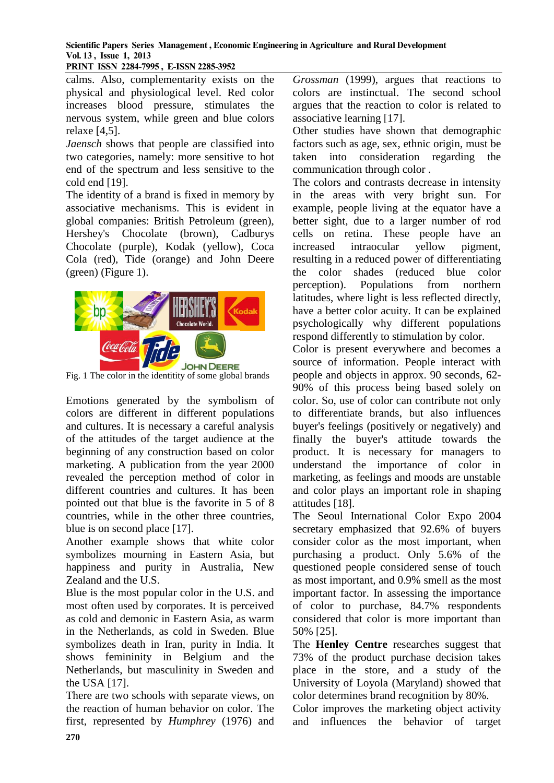**PRINT ISSN 2284-7995 , E-ISSN 2285-3952** 

calms. Also, complementarity exists on the physical and physiological level. Red color increases blood pressure, stimulates the nervous system, while green and blue colors relaxe [4,5].

*Jaensch* shows that people are classified into two categories, namely: more sensitive to hot end of the spectrum and less sensitive to the cold end [19].

The identity of a brand is fixed in memory by associative mechanisms. This is evident in global companies: British Petroleum (green), Hershey's Chocolate (brown), Cadburys Chocolate (purple), Kodak (yellow), Coca Cola (red), Tide (orange) and John Deere (green) (Figure 1).



Fig. 1 The color in the identitity of some global brands

Emotions generated by the symbolism of colors are different in different populations and cultures. It is necessary a careful analysis of the attitudes of the target audience at the beginning of any construction based on color marketing. A publication from the year 2000 revealed the perception method of color in different countries and cultures. It has been pointed out that blue is the favorite in 5 of 8 countries, while in the other three countries, blue is on second place [17].

Another example shows that white color symbolizes mourning in Eastern Asia, but happiness and purity in Australia, New Zealand and the U.S.

Blue is the most popular color in the U.S. and most often used by corporates. It is perceived as cold and demonic in Eastern Asia, as warm in the Netherlands, as cold in Sweden. Blue symbolizes death in Iran, purity in India. It shows femininity in Belgium and the Netherlands, but masculinity in Sweden and the USA [17].

There are two schools with separate views, on the reaction of human behavior on color. The first, represented by *Humphrey* (1976) and

*Grossman* (1999), argues that reactions to colors are instinctual. The second school argues that the reaction to color is related to associative learning [17].

Other studies have shown that demographic factors such as age, sex, ethnic origin, must be taken into consideration regarding the communication through color .

The colors and contrasts decrease in intensity in the areas with very bright sun. For example, people living at the equator have a better sight, due to a larger number of rod cells on retina. These people have an increased intraocular yellow pigment, resulting in a reduced power of differentiating the color shades (reduced blue color perception). Populations from northern latitudes, where light is less reflected directly, have a better color acuity. It can be explained psychologically why different populations respond differently to stimulation by color.

Color is present everywhere and becomes a source of information. People interact with people and objects in approx. 90 seconds, 62- 90% of this process being based solely on color. So, use of color can contribute not only to differentiate brands, but also influences buyer's feelings (positively or negatively) and finally the buyer's attitude towards the product. It is necessary for managers to understand the importance of color in marketing, as feelings and moods are unstable and color plays an important role in shaping attitudes [18].

The Seoul International Color Expo 2004 secretary emphasized that 92.6% of buyers consider color as the most important, when purchasing a product. Only 5.6% of the questioned people considered sense of touch as most important, and 0.9% smell as the most important factor. In assessing the importance of color to purchase, 84.7% respondents considered that color is more important than 50% [25].

The **Henley Centre** researches suggest that 73% of the product purchase decision takes place in the store, and a study of the University of Loyola (Maryland) showed that color determines brand recognition by 80%.

Color improves the marketing object activity and influences the behavior of target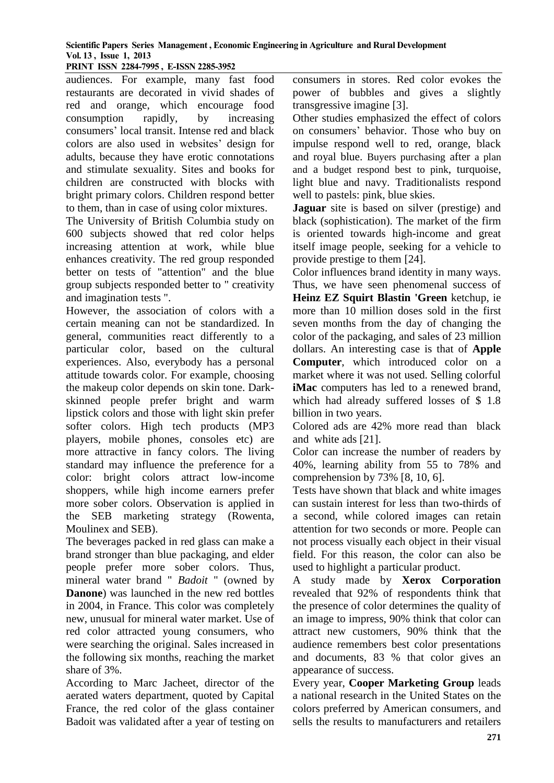**PRINT ISSN 2284-7995 , E-ISSN 2285-3952** 

audiences. For example, many fast food restaurants are decorated in vivid shades of red and orange, which encourage food consumption rapidly, by increasing consumers' local transit. Intense red and black colors are also used in websites' design for adults, because they have erotic connotations and stimulate sexuality. Sites and books for children are constructed with blocks with bright primary colors. Children respond better to them, than in case of using color mixtures.

The University of British Columbia study on 600 subjects showed that red color helps increasing attention at work, while blue enhances creativity. The red group responded better on tests of "attention" and the blue group subjects responded better to " creativity and imagination tests ".

However, the association of colors with a certain meaning can not be standardized. In general, communities react differently to a particular color, based on the cultural experiences. Also, everybody has a personal attitude towards color. For example, choosing the makeup color depends on skin tone. Darkskinned people prefer bright and warm lipstick colors and those with light skin prefer softer colors. High tech products (MP3 players, mobile phones, consoles etc) are more attractive in fancy colors. The living standard may influence the preference for a color: bright colors attract low-income shoppers, while high income earners prefer more sober colors. Observation is applied in the SEB marketing strategy (Rowenta, Moulinex and SEB).

The beverages packed in red glass can make a brand stronger than blue packaging, and elder people prefer more sober colors. Thus, mineral water brand " *Badoit* " (owned by **Danone**) was launched in the new red bottles in 2004, in France. This color was completely new, unusual for mineral water market. Use of red color attracted young consumers, who were searching the original. Sales increased in the following six months, reaching the market share of 3%.

According to Marc Jacheet, director of the aerated waters department, quoted by Capital France, the red color of the glass container Badoit was validated after a year of testing on consumers in stores. Red color evokes the power of bubbles and gives a slightly transgressive imagine [3].

Other studies emphasized the effect of colors on consumers' behavior. Those who buy on impulse respond well to red, orange, black and royal blue. Buyers purchasing after a plan and a budget respond best to pink, turquoise, light blue and navy. Traditionalists respond well to pastels: pink, blue skies.

**Jaguar** site is based on silver (prestige) and black (sophistication). The market of the firm is oriented towards high-income and great itself image people, seeking for a vehicle to provide prestige to them [24].

Color influences brand identity in many ways. Thus, we have seen phenomenal success of **Heinz EZ Squirt Blastin 'Green** ketchup, ie more than 10 million doses sold in the first seven months from the day of changing the color of the packaging, and sales of 23 million dollars. An interesting case is that of **Apple Computer**, which introduced color on a market where it was not used. Selling colorful **iMac** computers has led to a renewed brand, which had already suffered losses of \$ 1.8 billion in two years.

Colored ads are 42% more read than black and white ads [21].

Color can increase the number of readers by 40%, learning ability from 55 to 78% and comprehension by 73% [8, 10, 6].

Tests have shown that black and white images can sustain interest for less than two-thirds of a second, while colored images can retain attention for two seconds or more. People can not process visually each object in their visual field. For this reason, the color can also be used to highlight a particular product.

A study made by **Xerox Corporation** revealed that 92% of respondents think that the presence of color determines the quality of an image to impress, 90% think that color can attract new customers, 90% think that the audience remembers best color presentations and documents, 83 % that color gives an appearance of success.

Every year, **Cooper Marketing Group** leads a national research in the United States on the colors preferred by American consumers, and sells the results to manufacturers and retailers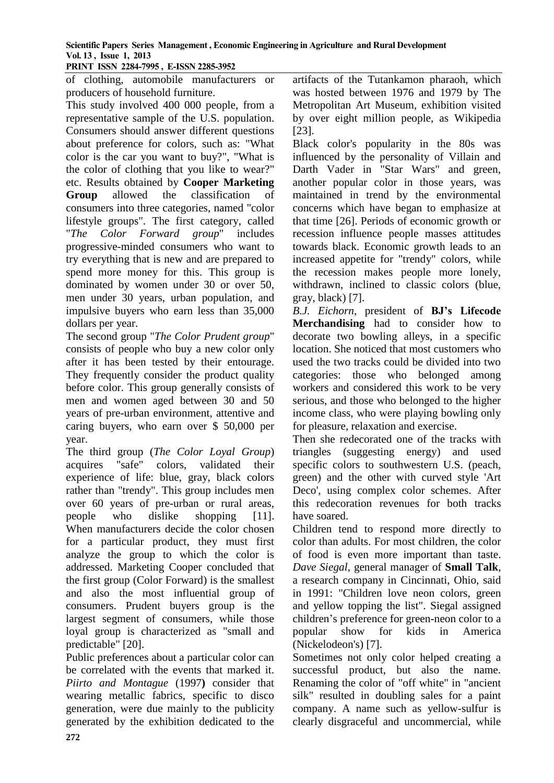**PRINT ISSN 2284-7995 , E-ISSN 2285-3952** 

of clothing, automobile manufacturers or producers of household furniture.

This study involved 400 000 people, from a representative sample of the U.S. population. Consumers should answer different questions about preference for colors, such as: "What color is the car you want to buy?", "What is the color of clothing that you like to wear?" etc. Results obtained by **Cooper Marketing Group** allowed the classification of consumers into three categories, named "color lifestyle groups". The first category, called "*The Color Forward group*" includes progressive-minded consumers who want to try everything that is new and are prepared to spend more money for this. This group is dominated by women under 30 or over 50, men under 30 years, urban population, and impulsive buyers who earn less than 35,000 dollars per year.

The second group "*The Color Prudent group*" consists of people who buy a new color only after it has been tested by their entourage. They frequently consider the product quality before color. This group generally consists of men and women aged between 30 and 50 years of pre-urban environment, attentive and caring buyers, who earn over \$ 50,000 per year.

The third group (*The Color Loyal Group*) acquires "safe" colors, validated their experience of life: blue, gray, black colors rather than "trendy". This group includes men over 60 years of pre-urban or rural areas, people who dislike shopping [11]. When manufacturers decide the color chosen for a particular product, they must first analyze the group to which the color is addressed. Marketing Cooper concluded that the first group (Color Forward) is the smallest and also the most influential group of consumers. Prudent buyers group is the largest segment of consumers, while those loyal group is characterized as "small and predictable" [20].

Public preferences about a particular color can be correlated with the events that marked it. *Piirto and Montague* (1997**)** consider that wearing metallic fabrics, specific to disco generation, were due mainly to the publicity generated by the exhibition dedicated to the artifacts of the Tutankamon pharaoh, which was hosted between 1976 and 1979 by The Metropolitan Art Museum, exhibition visited by over eight million people, as Wikipedia [23].

Black color's popularity in the 80s was influenced by the personality of Villain and Darth Vader in "Star Wars" and green, another popular color in those years, was maintained in trend by the environmental concerns which have began to emphasize at that time [26]. Periods of economic growth or recession influence people masses attitudes towards black. Economic growth leads to an increased appetite for "trendy" colors, while the recession makes people more lonely, withdrawn, inclined to classic colors (blue, gray, black) [7].

*B.J. Eichorn*, president of **BJ's Lifecode Merchandising** had to consider how to decorate two bowling alleys, in a specific location. She noticed that most customers who used the two tracks could be divided into two categories: those who belonged among workers and considered this work to be very serious, and those who belonged to the higher income class, who were playing bowling only for pleasure, relaxation and exercise.

Then she redecorated one of the tracks with triangles (suggesting energy) and used specific colors to southwestern U.S. (peach, green) and the other with curved style 'Art Deco', using complex color schemes. After this redecoration revenues for both tracks have soared.

Children tend to respond more directly to color than adults. For most children, the color of food is even more important than taste. *Dave Siegal*, general manager of **Small Talk**, a research company in Cincinnati, Ohio, said in 1991: "Children love neon colors, green and yellow topping the list". Siegal assigned children's preference for green-neon color to a popular show for kids in America (Nickelodeon's) [7].

Sometimes not only color helped creating a successful product, but also the name. Renaming the color of "off white" in "ancient silk" resulted in doubling sales for a paint company. A name such as yellow-sulfur is clearly disgraceful and uncommercial, while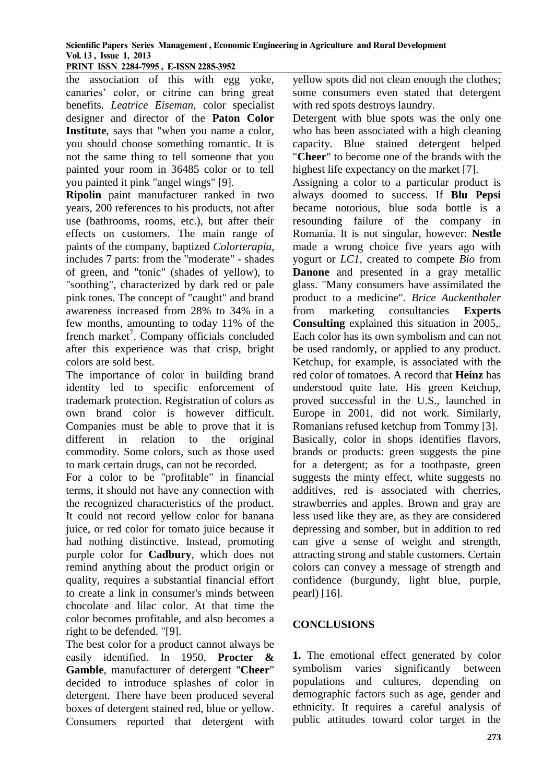**PRINT ISSN 2284-7995 , E-ISSN 2285-3952** 

the association of this with egg yoke, canaries' color, or citrine can bring great benefits. *Leatrice Eiseman*, color specialist designer and director of the **Paton Color Institute**, says that "when you name a color, you should choose something romantic. It is not the same thing to tell someone that you painted your room in 36485 color or to tell you painted it pink "angel wings" [9].

**Ripolin** paint manufacturer ranked in two years, 200 references to his products, not after use (bathrooms, rooms, etc.), but after their effects on customers. The main range of paints of the company, baptized *Colorterapia*, includes 7 parts: from the "moderate" - shades of green, and "tonic" (shades of yellow), to "soothing", characterized by dark red or pale pink tones. The concept of "caught" and brand awareness increased from 28% to 34% in a few months, amounting to today 11% of the french market<sup>7</sup>. Company officials concluded after this experience was that crisp, bright colors are sold best.

The importance of color in building brand identity led to specific enforcement of trademark protection. Registration of colors as own brand color is however difficult. Companies must be able to prove that it is different in relation to the original commodity. Some colors, such as those used to mark certain drugs, can not be recorded.

For a color to be "profitable" in financial terms, it should not have any connection with the recognized characteristics of the product. It could not record yellow color for banana juice, or red color for tomato juice because it had nothing distinctive. Instead, promoting purple color for **Cadbury**, which does not remind anything about the product origin or quality, requires a substantial financial effort to create a link in consumer's minds between chocolate and lilac color. At that time the color becomes profitable, and also becomes a right to be defended. "[9].

The best color for a product cannot always be easily identified. In 1950, **Procter & Gamble**, manufacturer of detergent "**Cheer**" decided to introduce splashes of color in detergent. There have been produced several boxes of detergent stained red, blue or yellow. Consumers reported that detergent with

yellow spots did not clean enough the clothes; some consumers even stated that detergent with red spots destroys laundry.

Detergent with blue spots was the only one who has been associated with a high cleaning capacity. Blue stained detergent helped "**Cheer**" to become one of the brands with the highest life expectancy on the market [7].

Assigning a color to a particular product is always doomed to success. If **Blu Pepsi** became notorious, blue soda bottle is a resounding failure of the company in Romania. It is not singular, however: **Nestle** made a wrong choice five years ago with yogurt or *LC1*, created to compete *Bio* from **Danone** and presented in a gray metallic glass. "Many consumers have assimilated the product to a medicine". *Brice Auckenthaler* from marketing consultancies **Experts Consulting** explained this situation in 2005,. Each color has its own symbolism and can not be used randomly, or applied to any product. Ketchup, for example, is associated with the red color of tomatoes. A record that **Heinz** has understood quite late. His green Ketchup, proved successful in the U.S., launched in Europe in 2001, did not work. Similarly, Romanians refused ketchup from Tommy [3]. Basically, color in shops identifies flavors, brands or products: green suggests the pine for a detergent; as for a toothpaste, green suggests the minty effect, white suggests no additives, red is associated with cherries, strawberries and apples. Brown and gray are less used like they are, as they are considered depressing and somber, but in addition to red can give a sense of weight and strength, attracting strong and stable customers. Certain colors can convey a message of strength and confidence (burgundy, light blue, purple, pearl) [16].

# **CONCLUSIONS**

**1.** The emotional effect generated by color symbolism varies significantly between populations and cultures, depending on demographic factors such as age, gender and ethnicity. It requires a careful analysis of public attitudes toward color target in the